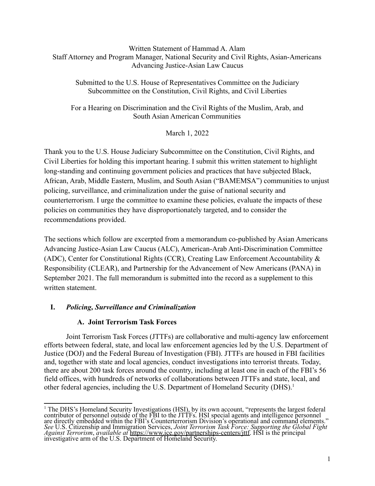## Written Statement of Hammad A. Alam Staff Attorney and Program Manager, National Security and Civil Rights, Asian-Americans Advancing Justice-Asian Law Caucus

Submitted to the U.S. House of Representatives Committee on the Judiciary Subcommittee on the Constitution, Civil Rights, and Civil Liberties

For a Hearing on Discrimination and the Civil Rights of the Muslim, Arab, and South Asian American Communities

March 1, 2022

Thank you to the U.S. House Judiciary Subcommittee on the Constitution, Civil Rights, and Civil Liberties for holding this important hearing. I submit this written statement to highlight long-standing and continuing government policies and practices that have subjected Black, African, Arab, Middle Eastern, Muslim, and South Asian ("BAMEMSA") communities to unjust policing, surveillance, and criminalization under the guise of national security and counterterrorism. I urge the committee to examine these policies, evaluate the impacts of these policies on communities they have disproportionately targeted, and to consider the recommendations provided.

The sections which follow are excerpted from a memorandum co-published by Asian Americans Advancing Justice-Asian Law Caucus (ALC), American-Arab Anti-Discrimination Committee (ADC), Center for Constitutional Rights (CCR), Creating Law Enforcement Accountability & Responsibility (CLEAR), and Partnership for the Advancement of New Americans (PANA) in September 2021. The full memorandum is submitted into the record as a supplement to this written statement.

# **I.** *Policing, Surveillance and Criminalization*

# **A. Joint Terrorism Task Forces**

Joint Terrorism Task Forces (JTTFs) are collaborative and multi-agency law enforcement efforts between federal, state, and local law enforcement agencies led by the U.S. Department of Justice (DOJ) and the Federal Bureau of Investigation (FBI). JTTFs are housed in FBI facilities and, together with state and local agencies, conduct investigations into terrorist threats. Today, there are about 200 task forces around the country, including at least one in each of the FBI's 56 field offices, with hundreds of networks of collaborations between JTTFs and state, local, and other federal agencies, including the U.S. Department of Homeland Security (DHS).<sup>1</sup>

<sup>&</sup>lt;sup>1</sup> The DHS's Homeland Security Investigations (HSI), by its own account, "represents the largest federal contributor of personnel outside of the FBI to the JTTFs. HSI special agents and intelligence personnel are directly embedded within the FBI's Counterterrorism Division's operational and command elements." *See* U.S. Citizenship and Immigration Services, *Joint Terrorism Task Force: Supporting the Global Fight Against Terrorism*, *available at* [https://www.ice.gov/partnerships-centers/jttf.](https://www.ice.gov/partnerships-centers/jttf) HSI is the principal investigative arm of the U.S. Department of Homeland Security.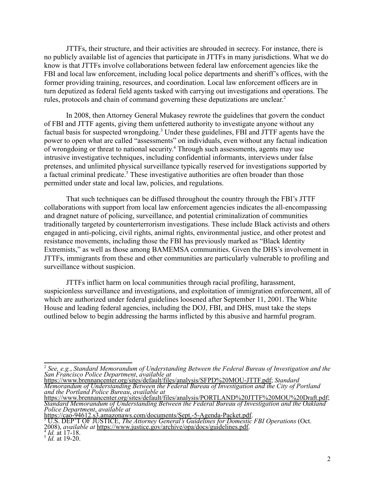JTTFs, their structure, and their activities are shrouded in secrecy. For instance, there is no publicly available list of agencies that participate in JTTFs in many jurisdictions. What we do know is that JTTFs involve collaborations between federal law enforcement agencies like the FBI and local law enforcement, including local police departments and sheriff's offices, with the former providing training, resources, and coordination. Local law enforcement officers are in turn deputized as federal field agents tasked with carrying out investigations and operations. The rules, protocols and chain of command governing these deputizations are unclear. 2

In 2008, then Attorney General Mukasey rewrote the guidelines that govern the conduct of FBI and JTTF agents, giving them unfettered authority to investigate anyone without any factual basis for suspected wrongdoing.<sup>3</sup> Under these guidelines, FBI and JTTF agents have the power to open what are called "assessments" on individuals, even without any factual indication of wrongdoing or threat to national security. <sup>4</sup> Through such assessments, agents may use intrusive investigative techniques, including confidential informants, interviews under false pretenses, and unlimited physical surveillance typically reserved for investigations supported by a factual criminal predicate.<sup>5</sup> These investigative authorities are often broader than those permitted under state and local law, policies, and regulations.

That such techniques can be diffused throughout the country through the FBI's JTTF collaborations with support from local law enforcement agencies indicates the all-encompassing and dragnet nature of policing, surveillance, and potential criminalization of communities traditionally targeted by counterterrorism investigations. These include Black activists and others engaged in anti-policing, civil rights, animal rights, environmental justice, and other protest and resistance movements, including those the FBI has previously marked as "Black Identity Extremists," as well as those among BAMEMSA communities. Given the DHS's involvement in JTTFs, immigrants from these and other communities are particularly vulnerable to profiling and surveillance without suspicion.

JTTFs inflict harm on local communities through racial profiling, harassment, suspicionless surveillance and investigations, and exploitation of immigration enforcement, all of which are authorized under federal guidelines loosened after September 11, 2001. The White House and leading federal agencies, including the DOJ, FBI, and DHS, must take the steps outlined below to begin addressing the harms inflicted by this abusive and harmful program.

<sup>3</sup> U.S. DEP'T OF JUSTICE, *The Attorney General's Guidelines for Domestic FBI Operations* (Oct. 2008), *available at* [https://www.justice.gov/archive/opa/docs/guidelines.pdf.](https://www.justice.gov/archive/opa/docs/guidelines.pdf) [https://cao-94612.s3.amazonaws.com/documents/Sept.-5-Agenda-Packet.pdf.](https://cao-94612.s3.amazonaws.com/documents/Sept.-5-Agenda-Packet.pdf)

<sup>2</sup> *See, e.g.*, *Standard Memorandum of Understanding Between the Federal Bureau of Investigation and the San Francisco Police Department*, *available at*

[https://www.brennancenter.org/sites/default/files/analysis/SFPD%20MOU-JTTF.pdf;](https://www.brennancenter.org/sites/default/files/analysis/SFPD%20MOU-JTTF.pdf) *Standard Memorandum of Understanding Between the Federal Bureau of Investigation and the City of Portland and the Portland Police Bureau*, *available at*

<https://www.brennancenter.org/sites/default/files/analysis/PORTLAND%20JTTF%20MOU%20Draft.pdf>; *Standard Memorandum of Understanding Between the Federal Bureau of Investigation and the Oakland Police Department*, *available at*

 $\frac{4}{3}$  *Id.* at 17-18.

 $^5$  *Id.* at 19-20.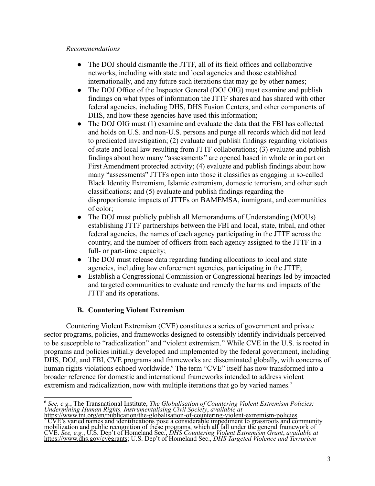## *Recommendations*

- The DOJ should dismantle the JTTF, all of its field offices and collaborative networks, including with state and local agencies and those established internationally, and any future such iterations that may go by other names;
- The DOJ Office of the Inspector General (DOJ OIG) must examine and publish findings on what types of information the JTTF shares and has shared with other federal agencies, including DHS, DHS Fusion Centers, and other components of DHS, and how these agencies have used this information;
- The DOJ OIG must (1) examine and evaluate the data that the FBI has collected and holds on U.S. and non-U.S. persons and purge all records which did not lead to predicated investigation; (2) evaluate and publish findings regarding violations of state and local law resulting from JTTF collaborations; (3) evaluate and publish findings about how many "assessments" are opened based in whole or in part on First Amendment protected activity; (4) evaluate and publish findings about how many "assessments" JTTFs open into those it classifies as engaging in so-called Black Identity Extremism, Islamic extremism, domestic terrorism, and other such classifications; and (5) evaluate and publish findings regarding the disproportionate impacts of JTTFs on BAMEMSA, immigrant, and communities of color;
- The DOJ must publicly publish all Memorandums of Understanding (MOUs) establishing JTTF partnerships between the FBI and local, state, tribal, and other federal agencies, the names of each agency participating in the JTTF across the country, and the number of officers from each agency assigned to the JTTF in a full- or part-time capacity;
- The DOJ must release data regarding funding allocations to local and state agencies, including law enforcement agencies, participating in the JTTF;
- Establish a Congressional Commission or Congressional hearings led by impacted and targeted communities to evaluate and remedy the harms and impacts of the JTTF and its operations.

# **B. Countering Violent Extremism**

Countering Violent Extremism (CVE) constitutes a series of government and private sector programs, policies, and frameworks designed to ostensibly identify individuals perceived to be susceptible to "radicalization" and "violent extremism." While CVE in the U.S. is rooted in programs and policies initially developed and implemented by the federal government, including DHS, DOJ, and FBI, CVE programs and frameworks are disseminated globally, with concerns of human rights violations echoed worldwide.<sup>6</sup> The term "CVE" itself has now transformed into a broader reference for domestic and international frameworks intended to address violent extremism and radicalization, now with multiple iterations that go by varied names.<sup>7</sup>

<sup>6</sup> *See, e.g.*, The Transnational Institute, *The Globalisation of Countering Violent Extremism Policies: Undermining Human Rights, Instrumentalising Civil Society*, *available at*

<sup>7</sup> CVE's varied names and identifications pose a considerable impediment to grassroots and community mobilization and public recognition of these programs, which all fall under the general framework of CVE. *See, e.g.*, U.S. Dep't of Homeland Sec., *DHS Countering Violent Extremism Grant*, *available at* <https://www.dhs.gov/cvegrants>; U.S. Dep't of Homeland Sec., *DHS Targeted Violence and Terrorism* [https://www.tni.org/en/publication/the-globalisation-of-countering-violent-extremism-policies.](https://www.tni.org/en/publication/the-globalisation-of-countering-violent-extremism-policies)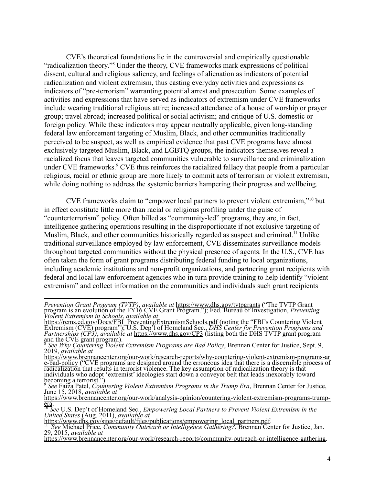CVE's theoretical foundations lie in the controversial and empirically questionable "radicalization theory."<sup>8</sup> Under the theory, CVE frameworks mark expressions of political dissent, cultural and religious saliency, and feelings of alienation as indicators of potential radicalization and violent extremism, thus casting everyday activities and expressions as indicators of "pre-terrorism" warranting potential arrest and prosecution. Some examples of activities and expressions that have served as indicators of extremism under CVE frameworks include wearing traditional religious attire; increased attendance of a house of worship or prayer group; travel abroad; increased political or social activism; and critique of U.S. domestic or foreign policy. While these indicators may appear neutrally applicable, given long-standing federal law enforcement targeting of Muslim, Black, and other communities traditionally perceived to be suspect, as well as empirical evidence that past CVE programs have almost exclusively targeted Muslim, Black, and LGBTQ groups, the indicators themselves reveal a racialized focus that leaves targeted communities vulnerable to surveillance and criminalization under CVE frameworks.<sup>9</sup> CVE thus reinforces the racialized fallacy that people from a particular religious, racial or ethnic group are more likely to commit acts of terrorism or violent extremism, while doing nothing to address the systemic barriers hampering their progress and wellbeing.

CVE frameworks claim to "empower local partners to prevent violent extremism,"<sup>10</sup> but in effect constitute little more than racial or religious profiling under the guise of "counterterrorism" policy. Often billed as "community-led" programs, they are, in fact, intelligence gathering operations resulting in the disproportionate if not exclusive targeting of Muslim, Black, and other communities historically regarded as suspect and criminal.<sup>11</sup> Unlike traditional surveillance employed by law enforcement, CVE disseminates surveillance models throughout targeted communities without the physical presence of agents. In the U.S., CVE has often taken the form of grant programs distributing federal funding to local organizations, including academic institutions and non-profit organizations, and partnering grant recipients with federal and local law enforcement agencies who in turn provide training to help identify "violent extremism" and collect information on the communities and individuals such grant recipients

*Prevention Grant Program (TVTP)*, *available at* <https://www.dhs.gov/tvtpgrants> ("The TVTP Grant program is an evolution of the FY16 CVE Grant Program."); Fed. Bureau of Investigation, *Preventing Violent Extremism in Schools*, *available at*

[https://rems.ed.gov/Docs/FBI\\_PreventingExtremismSchools.pdf](https://rems.ed.gov/Docs/FBI_PreventingExtremismSchools.pdf) (noting the "FBI's Countering Violent Extremism (CVE) program"); U.S. Dep't of Homeland Sec., *DHS Center for Prevention Programs and Partnerships (CP3)*, *available at* <https://www.dhs.gov/CP3> (listing both the DHS TVTP grant program and the CVE grant program).

<sup>8</sup> *See Why Countering Violent Extremism Programs are Bad Policy*, Brennan Center for Justice, Sept. 9, 2019, *available at*

[https://www.brennancenter.org/our-work/research-reports/why-countering-violent-extremism-programs-ar](https://www.brennancenter.org/our-work/research-reports/why-countering-violent-extremism-programs-are-bad-policy) [e-bad-policy](https://www.brennancenter.org/our-work/research-reports/why-countering-violent-extremism-programs-are-bad-policy) ("CVE programs are designed around the erroneous idea that there is a discernible process of radicalization that results in terrorist violence. The key assumption of radicalization theory is that individuals who adopt 'extremist' ideologies start down a conveyor belt that leads inexorably toward becoming a terrorist.").

<sup>9</sup> *See* Faiza Patel, *Countering Violent Extremism Programs in the Trump Era*, Brennan Center for Justice, June 15, 2018, *available at*

[https://www.brennancenter.org/our-work/analysis-opinion/countering-violent-extremism-programs-trump](https://www.brennancenter.org/our-work/analysis-opinion/countering-violent-extremism-programs-trump-era)[era](https://www.brennancenter.org/our-work/analysis-opinion/countering-violent-extremism-programs-trump-era).

<sup>10</sup> *See* U.S. Dep't of Homeland Sec., *Empowering Local Partners to Prevent Violent Extremism in the United States* (Aug. 2011), *available at*

[https://www.dhs.gov/sites/default/files/publications/empowering\\_local\\_partners.pdf.](https://www.dhs.gov/sites/default/files/publications/empowering_local_partners.pdf)

<sup>11</sup> *See* Michael Price, *Community Outreach or Intelligence Gathering?*, Brennan Center for Justice, Jan. 29, 2015, *available at* 29, 2015, *available at* <https://www.brennancenter.org/our-work/research-reports/community-outreach-or-intelligence-gathering>.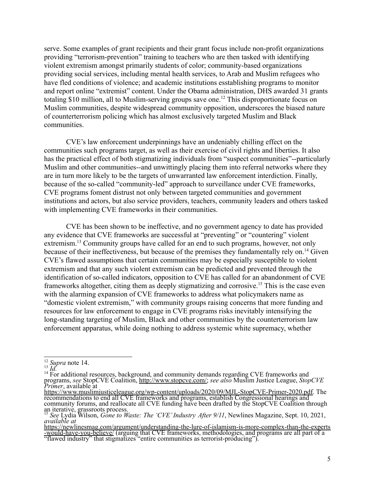serve. Some examples of grant recipients and their grant focus include non-profit organizations providing "terrorism-prevention" training to teachers who are then tasked with identifying violent extremism amongst primarily students of color; community-based organizations providing social services, including mental health services, to Arab and Muslim refugees who have fled conditions of violence; and academic institutions esstablishing programs to monitor and report online "extremist" content. Under the Obama administration, DHS awarded 31 grants totaling \$10 million, all to Muslim-serving groups save one.<sup>12</sup> This disproportionate focus on Muslim communities, despite widespread community opposition, underscores the biased nature of counterterrorism policing which has almost exclusively targeted Muslim and Black communities.

CVE's law enforcement underpinnings have an undeniably chilling effect on the communities such programs target, as well as their exercise of civil rights and liberties. It also has the practical effect of both stigmatizing individuals from "suspect communities"--particularly Muslim and other communities--and unwittingly placing them into referral networks where they are in turn more likely to be the targets of unwarranted law enforcement interdiction. Finally, because of the so-called "community-led" approach to surveillance under CVE frameworks, CVE programs foment distrust not only between targeted communities and government institutions and actors, but also service providers, teachers, community leaders and others tasked with implementing CVE frameworks in their communities.

CVE has been shown to be ineffective, and no government agency to date has provided any evidence that CVE frameworks are successful at "preventing" or "countering" violent extremism.<sup>13</sup> Community groups have called for an end to such programs, however, not only because of their ineffectiveness, but because of the premises they fundamentally rely on.<sup>14</sup> Given CVE's flawed assumptions that certain communities may be especially susceptible to violent extremism and that any such violent extremism can be predicted and prevented through the identification of so-called indicators, opposition to CVE has called for an abandonment of CVE frameworks altogether, citing them as deeply stigmatizing and corrosive.<sup>15</sup> This is the case even with the alarming expansion of CVE frameworks to address what policymakers name as "domestic violent extremism," with community groups raising concerns that more funding and resources for law enforcement to engage in CVE programs risks inevitably intensifying the long-standing targeting of Muslim, Black and other communities by the counterterrorism law enforcement apparatus, while doing nothing to address systemic white supremacy, whether

<sup>12</sup> *Supra* note 14.

<sup>13</sup> *Id.*

<sup>&</sup>lt;sup>14</sup> For additional resources, background, and community demands regarding CVE frameworks and programs, *see* StopCVE Coalition, [http://www.stopcve.com/;](http://www.stopcve.com/) *see also* Muslim Justice League, *StopCVE Primer*, available at

[https://www.muslimjusticeleague.org/wp-content/uploads/2020/09/MJL-StopCVE-Primer-2020.pdf.](https://www.muslimjusticeleague.org/wp-content/uploads/2020/09/MJL-StopCVE-Primer-2020.pdf) The recommendations to end all CVE frameworks and programs, establish Congressional hearings and community forums, and reallocate all CVE funding have been drafted by the StopCVE Coalition through an iterative, grassroots process.

<sup>15</sup> *See* Lydia Wilson, *Gone to Waste: The 'CVE'Industry After 9/11*, Newlines Magazine, Sept. 10, 2021, *available at*

[https://newlinesmag.com/argument/understanding-the-lure-of-islamism-is-more-complex-than-the-experts](https://newlinesmag.com/argument/understanding-the-lure-of-islamism-is-more-complex-than-the-experts-would-have-you-believe/) [-would-have-you-believe/](https://newlinesmag.com/argument/understanding-the-lure-of-islamism-is-more-complex-than-the-experts-would-have-you-believe/) (arguing that CVE frameworks, methodologies, and programs are all part of a "flawed industry" that stigmatizes "entire communities as terrorist-producing").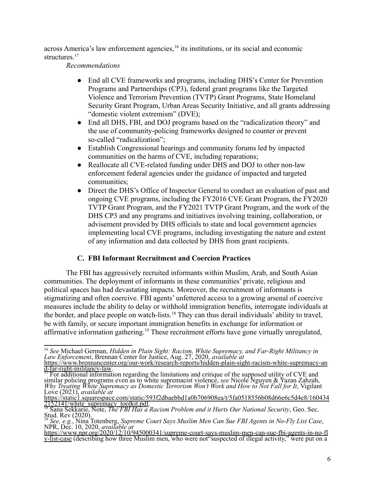across America's law enforcement agencies, <sup>16</sup> its institutions, or its social and economic structures<sup>17</sup>

*Recommendations*

- End all CVE frameworks and programs, including DHS's Center for Prevention Programs and Partnerships (CP3), federal grant programs like the Targeted Violence and Terrorism Prevention (TVTP) Grant Programs, State Homeland Security Grant Program, Urban Areas Security Initiative, and all grants addressing "domestic violent extremism" (DVE);
- End all DHS, FBI, and DOJ programs based on the "radicalization theory" and the use of community-policing frameworks designed to counter or prevent so-called "radicalization";
- Establish Congressional hearings and community forums led by impacted communities on the harms of CVE, including reparations;
- Reallocate all CVE-related funding under DHS and DOJ to other non-law enforcement federal agencies under the guidance of impacted and targeted communities;
- Direct the DHS's Office of Inspector General to conduct an evaluation of past and ongoing CVE programs, including the FY2016 CVE Grant Program, the FY2020 TVTP Grant Program, and the FY2021 TVTP Grant Program, and the work of the DHS CP3 and any programs and initiatives involving training, collaboration, or advisement provided by DHS officials to state and local government agencies implementing local CVE programs, including investigating the nature and extent of any information and data collected by DHS from grant recipients.

# **C. FBI Informant Recruitment and Coercion Practices**

The FBI has aggressively recruited informants within Muslim, Arab, and South Asian communities. The deployment of informants in these communities' private, religious and political spaces has had devastating impacts. Moreover, the recruitment of informants is stigmatizing and often coercive. FBI agents' unfettered access to a growing arsenal of coercive measures include the ability to delay or withhold immigration benefits, interrogate individuals at the border, and place people on watch-lists.<sup>18</sup> They can thus derail individuals' ability to travel, be with family, or secure important immigration benefits in exchange for information or affirmative information gathering.<sup>19</sup> These recruitment efforts have gone virtually unregulated,

<sup>16</sup> *See* Michael German, *Hidden in Plain Sight: Racism, White Supremacy, and Far-Right Militancy in Law Enforcement*, Brennan Center for Justice, Aug. 27, 2020, *available at*

[https://www.brennancenter.org/our-work/research-reports/hidden-plain-sight-racism-white-supremacy-an](https://www.brennancenter.org/our-work/research-reports/hidden-plain-sight-racism-white-supremacy-and-far-right-militancy-law) [d-far-right-militancy-law](https://www.brennancenter.org/our-work/research-reports/hidden-plain-sight-racism-white-supremacy-and-far-right-militancy-law).

<sup>&</sup>lt;sup>17</sup> For additional information regarding the limitations and critique of the supposed utility of CVE and similar policing programs even as to white supremacist violence, *see* Nicole Nguyen & Yazan Zahzah, *Why Treating White Supremacy as Domestic Terrorism Won't Work and How to Not Fall for It*, Vigilant Love (2021), *available at*

[https://static1.squarespace.com/static/593f2dbaebbd1a0b706908ea/t/5fa0518556b08d66e6c5d4e8/160434](https://static1.squarespace.com/static/593f2dbaebbd1a0b706908ea/t/5fa0518556b08d66e6c5d4e8/1604342152141/white_supremacy_toolkit.pdf) [2152141/white\\_supremacy\\_toolkit.pdf.](https://static1.squarespace.com/static/593f2dbaebbd1a0b706908ea/t/5fa0518556b08d66e6c5d4e8/1604342152141/white_supremacy_toolkit.pdf)

<sup>18</sup> Sana Sekkarie, Note, *The FBI Has a Racism Problem and it Hurts Our National Security*, Geo. Sec. Stud. Rev (2020).

<sup>19</sup> *See, e.g.*, Nina Totenberg[,](https://www.npr.org/2020/12/10/945000341/supreme-court-says-muslim-men-can-sue-fbi-agents-in-no-fly-list-case) *Supreme Court Says Muslim Men Can Sue FBI Agents in No-Fly List Case*, NPR, Dec. 10, 2020, *available at*

[https://www.npr.org/2020/12/10/945000341/supreme-court-says-muslim-men-can-sue-fbi-agents-in-no-fl](https://www.npr.org/2020/12/10/945000341/supreme-court-says-muslim-men-can-sue-fbi-agents-in-no-fly-list-case) [y-list-case](https://www.npr.org/2020/12/10/945000341/supreme-court-says-muslim-men-can-sue-fbi-agents-in-no-fly-list-case) (describing how three Muslim men, who were not"suspected of illegal activity," were put on a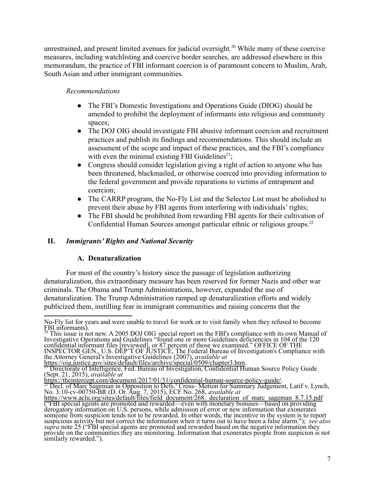unrestrained, and present limited avenues for judicial oversight.<sup>20</sup> While many of these coercive measures, including watchlisting and coercive border searches, are addressed elsewhere in this memorandum, the practice of FBI informant coercion is of paramount concern to Muslim, Arab, South Asian and other immigrant communities.

# *Recommendations*

- The FBI's Domestic Investigations and Operations Guide (DIOG) should be amended to prohibit the deployment of informants into religious and community spaces;
- The DOJ OIG should investigate FBI abusive informant coercion and recruitment practices and publish its findings and recommendations. This should include an assessment of the scope and impact of these practices, and the FBI's compliance with even the minimal existing FBI Guidelines<sup>21</sup>;
- Congress should consider legislation giving a right of action to anyone who has been threatened, blackmailed, or otherwise coerced into providing information to the federal government and provide reparations to victims of entrapment and coercion;
- The CARRP program, the No-Fly List and the Selectee List must be abolished to prevent their abuse by FBI agents from interfering with individuals' rights;
- The FBI should be prohibited from rewarding FBI agents for their cultivation of Confidential Human Sources amongst particular ethnic or religious groups.<sup>22</sup>

# **II.** *Immigrants' Rights and National Security*

# **A. Denaturalization**

For most of the country's history since the passage of legislation authorizing denaturalization, this extraordinary measure has been reserved for former Nazis and other war criminals. The Obama and Trump Administrations, however, expanded the use of denaturalization. The Trump Administration ramped up denaturalization efforts and widely publicized them, instilling fear in immigrant communities and raising concerns that the

 $^{20}$  This issue is not new. A 2005 DOJ OIG special report on the FBI's compliance with its own Manual of Investigative Operations and Guidelines "found one or more Guidelines deficiencies in 104 of the 120 confidential informant files [reviewed], or 87 percent of those we examined." OFFICE OF THE INSPECTOR GEN., U.S. DEP'T OF JUSTICE, The Federal Bureau of Investigation's Compliance with the Attorney General's Investigative Guidelines (2007), *available at*

No-Fly list for years and were unable to travel for work or to visit family when they refused to become FBI informants).

<https://oig.justice.gov/sites/default/files/archive/special/0509/chapter3.htm>.

<sup>&</sup>lt;sup>21</sup> Directorate of Intelligence, Fed. Bureau of Investigation, Confidential Human Source Policy Guide (Sept. 21, 2015), *available at*

<https://theintercept.com/document/2017/01/31/confidential-human-source-policy-guide/>.

<sup>&</sup>lt;sup>22</sup> Decl. of Marc Sageman in Opposition to Defs.' Cross- Motion for Summary Judgement, Latif v. Lynch, No. 3:10-cv-00750-BR (D. Or. Aug. 7, 2015), ECF No. 268, *available at*

https://www.aclu.org/sites/default/files/field document/268. declaration of marc sageman 8.7.15.pdf ("FBI special agents are promoted and rewarded—even with monetary bonuses—based on providing derogatory information on U.S. persons, while admission of error or new information that exonerates someone from suspicion tends not to be rewarded. In other words, the incentive in the system is to report suspicious activity but not correct the information when it turns out to have been a false alarm."); *see also supra* note 25 ("FBI special agents are promoted and rewarded based on the negative information they provide on the communities they are monitoring. Information that exonerates people from suspicion is not similarly rewarded.").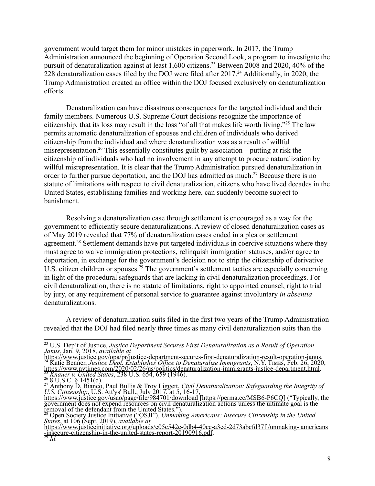government would target them for minor mistakes in paperwork. In 2017, the Trump Administration announced the beginning of Operation Second Look, a program to investigate the pursuit of denaturalization against at least 1,600 citizens.<sup>23</sup> Between 2008 and 2020, 40% of the 228 denaturalization cases filed by the DOJ were filed after 2017.<sup>24</sup> Additionally, in 2020, the Trump Administration created an office within the DOJ focused exclusively on denaturalization efforts.

Denaturalization can have disastrous consequences for the targeted individual and their family members. Numerous U.S. Supreme Court decisions recognize the importance of citizenship, that its loss may result in the loss "of all that makes life worth living."<sup>25</sup> The law permits automatic denaturalization of spouses and children of individuals who derived citizenship from the individual and where denaturalization was as a result of willful misrepresentation.<sup>26</sup> This essentially constitutes guilt by association – putting at risk the citizenship of individuals who had no involvement in any attempt to procure naturalization by willful misrepresentation. It is clear that the Trump Administration pursued denaturalization in order to further pursue deportation, and the DOJ has admitted as much.<sup>27</sup> Because there is no statute of limitations with respect to civil denaturalization, citizens who have lived decades in the United States, establishing families and working here, can suddenly become subject to banishment.

Resolving a denaturalization case through settlement is encouraged as a way for the government to efficiently secure denaturalizations. A review of closed denaturalization cases as of May 2019 revealed that 77% of denaturalization cases ended in a plea or settlement agreement.<sup>28</sup> Settlement demands have put targeted individuals in coercive situations where they must agree to waive immigration protections, relinquish immigration statuses, and/or agree to deportation, in exchange for the government's decision not to strip the citizenship of derivative U.S. citizen children or spouses.<sup>29</sup> The government's settlement tactics are especially concerning in light of the procedural safeguards that are lacking in civil denaturalization proceedings. For civil denaturalization, there is no statute of limitations, right to appointed counsel, right to trial by jury, or any requirement of personal service to guarantee against involuntary *in absentia* denaturalizations.

A review of denaturalization suits filed in the first two years of the Trump Administration revealed that the DOJ had filed nearly three times as many civil denaturalization suits than the

<sup>23</sup> U.S. Dep't of Justice, *Justice Department Secures First Denaturalization as a Result of Operation Janus*, Jan. 9, 2018, *available at*

<sup>25</sup> *Knauer v. United States*, 238 U.S. 654, 659 (1946). <sup>24</sup> Katie Benner, *Justice Dept. Establishes Of ice to Denaturalize Immigrants*, N.Y. Tɪᴍᴇs, Feb. 26, 2020, <https://www.nytimes.com/2020/02/26/us/politics/denaturalization-immigrants-justice-department.html>. <https://www.justice.gov/opa/pr/justice-department-secures-first-denaturalization-result-operation-janus>.

 $^{26}_{27}$  8 U.S.C. § 1451(d).

<sup>27</sup> Anthony D. Bianco, Paul Bullis & Troy Liggett, *Civil Denaturalization: Safeguarding the Integrity of U.S. Citizenship*, U.S. Att'ys' Bull., July 2017, at 5, 16-17, <https://www.justice.gov/usao/page/file/984701/download> [[https://perma.cc/MSB6-P6CQ\]](https://perma.cc/MSB6-P6CQ) ("Typically, the

government does not expend resources on civil denaturalization actions unless the ultimate goal is the removal of the defendant from the United States.").

<sup>28</sup> Open Society Justice Initiative ("OSJI"), *Unmaking Americans: Insecure Citizenship in the United States*, at 106 (Sept. 2019), *available at*

[https://www.justiceinitiative.org/uploads/e05c542e-0db4-40cc-a3ed-2d73abcfd37f](https://www.justiceinitiative.org/uploads/e05c542e-0db4-40cc-a3ed-2d73abcfd37f/unmaking-americans-insecure-citizenship-in-the-united-states-report-20190916.pdf) /unmaking- americans [-insecure-citizenship-in-the-united-states-report-20190916.pdf](https://www.justiceinitiative.org/uploads/e05c542e-0db4-40cc-a3ed-2d73abcfd37f/unmaking-americans-insecure-citizenship-in-the-united-states-report-20190916.pdf).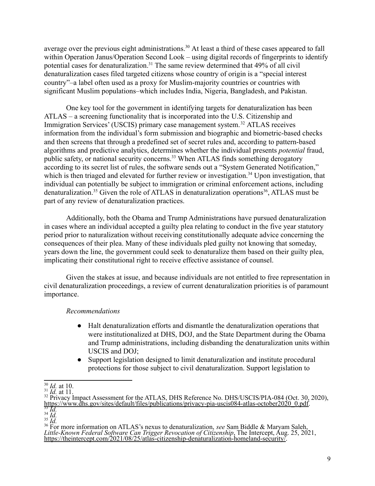average over the previous eight administrations.<sup>30</sup> At least a third of these cases appeared to fall within Operation Janus/Operation Second Look – using digital records of fingerprints to identify potential cases for denaturalization.<sup>31</sup> The same review determined that 49% of all civil denaturalization cases filed targeted citizens whose country of origin is a "special interest country"–a label often used as a proxy for Muslim-majority countries or countries with significant Muslim populations–which includes India, Nigeria, Bangladesh, and Pakistan.

One key tool for the government in identifying targets for denaturalization has been ATLAS – a screening functionality that is incorporated into the U.S. Citizenship and Immigration Services' (USCIS) primary case management system. <sup>32</sup> ATLAS receives information from the individual's form submission and biographic and biometric-based checks and then screens that through a predefined set of secret rules and, according to pattern-based algorithms and predictive analytics, determines whether the individual presents *potential* fraud, public safety, or national security concerns.<sup>33</sup> When ATLAS finds something derogatory according to its secret list of rules, the software sends out a "System Generated Notification," which is then triaged and elevated for further review or investigation.<sup>34</sup> Upon investigation, that individual can potentially be subject to immigration or criminal enforcement actions, including denaturalization.<sup>35</sup> Given the role of ATLAS in denaturalization operations<sup>36</sup>, ATLAS must be part of any review of denaturalization practices.

Additionally, both the Obama and Trump Administrations have pursued denaturalization in cases where an individual accepted a guilty plea relating to conduct in the five year statutory period prior to naturalization without receiving constitutionally adequate advice concerning the consequences of their plea. Many of these individuals pled guilty not knowing that someday, years down the line, the government could seek to denaturalize them based on their guilty plea, implicating their constitutional right to receive effective assistance of counsel.

Given the stakes at issue, and because individuals are not entitled to free representation in civil denaturalization proceedings, a review of current denaturalization priorities is of paramount importance.

#### *Recommendations*

- Halt denaturalization efforts and dismantle the denaturalization operations that were institutionalized at DHS, DOJ, and the State Department during the Obama and Trump administrations, including disbanding the denaturalization units within USCIS and DOJ;
- Support legislation designed to limit denaturalization and institute procedural protections for those subject to civil denaturalization. Support legislation to

 $^{30}$  *Id.* at 10.

 $^{31}_{22}$  *Id.* at 11.

<sup>33</sup> *Id.* <sup>32</sup> Privacy Impact Assessment for the ATLAS, DHS Reference No. DHS/USCIS/PIA-084 (Oct. 30, 2020), [https://www.dhs.gov/sites/default/files/publications/privacy-pia-uscis084-atlas-october2020\\_0.pdf.](https://www.dhs.gov/sites/default/files/publications/privacy-pia-uscis084-atlas-october2020_0.pdf)

<sup>34</sup> *Id.*

<sup>35</sup> *Id.*

<sup>36</sup> For more information on ATLAS's nexus to denaturalization, *see* Sam Biddle & Maryam Saleh, *Little-Known Federal Software Can Trigger Revocation of Citizenship*, The Intercept, Aug. 25, 2021, https://theintercept.com/2021/08/25/atlas-citizenship-denaturalization-homeland-security.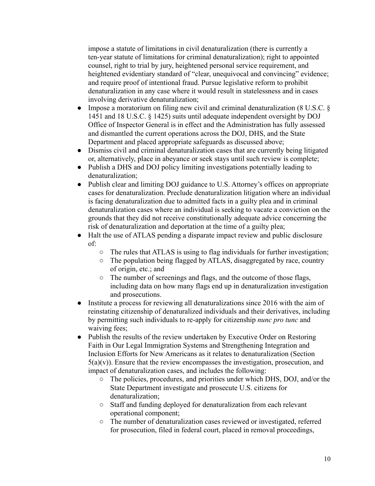impose a statute of limitations in civil denaturalization (there is currently a ten-year statute of limitations for criminal denaturalization); right to appointed counsel, right to trial by jury, heightened personal service requirement, and heightened evidentiary standard of "clear, unequivocal and convincing" evidence; and require proof of intentional fraud. Pursue legislative reform to prohibit denaturalization in any case where it would result in statelessness and in cases involving derivative denaturalization;

- Impose a moratorium on filing new civil and criminal denaturalization (8 U.S.C. § 1451 and 18 U.S.C. § 1425) suits until adequate independent oversight by DOJ Office of Inspector General is in effect and the Administration has fully assessed and dismantled the current operations across the DOJ, DHS, and the State Department and placed appropriate safeguards as discussed above;
- Dismiss civil and criminal denaturalization cases that are currently being litigated or, alternatively, place in abeyance or seek stays until such review is complete;
- Publish a DHS and DOJ policy limiting investigations potentially leading to denaturalization;
- Publish clear and limiting DOJ guidance to U.S. Attorney's offices on appropriate cases for denaturalization. Preclude denaturalization litigation where an individual is facing denaturalization due to admitted facts in a guilty plea and in criminal denaturalization cases where an individual is seeking to vacate a conviction on the grounds that they did not receive constitutionally adequate advice concerning the risk of denaturalization and deportation at the time of a guilty plea;
- Halt the use of ATLAS pending a disparate impact review and public disclosure of:
	- $\circ$  The rules that ATLAS is using to flag individuals for further investigation;
	- The population being flagged by ATLAS, disaggregated by race, country of origin, etc.; and
	- The number of screenings and flags, and the outcome of those flags, including data on how many flags end up in denaturalization investigation and prosecutions.
- Institute a process for reviewing all denaturalizations since 2016 with the aim of reinstating citizenship of denaturalized individuals and their derivatives, including by permitting such individuals to re-apply for citizenship *nunc pro tunc* and waiving fees;
- Publish the results of the review undertaken by Executive Order on Restoring Faith in Our Legal Immigration Systems and Strengthening Integration and Inclusion Efforts for New Americans as it relates to denaturalization (Section  $5(a)(v)$ ). Ensure that the review encompasses the investigation, prosecution, and impact of denaturalization cases, and includes the following:
	- The policies, procedures, and priorities under which DHS, DOJ, and/or the State Department investigate and prosecute U.S. citizens for denaturalization;
	- Staff and funding deployed for denaturalization from each relevant operational component;
	- The number of denaturalization cases reviewed or investigated, referred for prosecution, filed in federal court, placed in removal proceedings,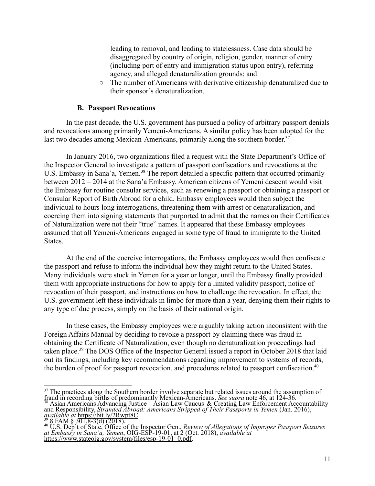leading to removal, and leading to statelessness. Case data should be disaggregated by country of origin, religion, gender, manner of entry (including port of entry and immigration status upon entry), referring agency, and alleged denaturalization grounds; and

The number of Americans with derivative citizenship denaturalized due to their sponsor's denaturalization.

#### **B. Passport Revocations**

In the past decade, the U.S. government has pursued a policy of arbitrary passport denials and revocations among primarily Yemeni-Americans. A similar policy has been adopted for the last two decades among Mexican-Americans, primarily along the southern border.<sup>37</sup>

In January 2016, two organizations filed a request with the State Department's Office of the Inspector General to investigate a pattern of passport confiscations and revocations at the U.S. Embassy in Sana'a, Yemen.<sup>38</sup> The report detailed a specific pattern that occurred primarily between 2012 – 2014 at the Sana'a Embassy. American citizens of Yemeni descent would visit the Embassy for routine consular services, such as renewing a passport or obtaining a passport or Consular Report of Birth Abroad for a child. Embassy employees would then subject the individual to hours long interrogations, threatening them with arrest or denaturalization, and coercing them into signing statements that purported to admit that the names on their Certificates of Naturalization were not their "true" names. It appeared that these Embassy employees assumed that all Yemeni-Americans engaged in some type of fraud to immigrate to the United States.

At the end of the coercive interrogations, the Embassy employees would then confiscate the passport and refuse to inform the individual how they might return to the United States. Many individuals were stuck in Yemen for a year or longer, until the Embassy finally provided them with appropriate instructions for how to apply for a limited validity passport, notice of revocation of their passport, and instructions on how to challenge the revocation. In effect, the U.S. government left these individuals in limbo for more than a year, denying them their rights to any type of due process, simply on the basis of their national origin.

In these cases, the Embassy employees were arguably taking action inconsistent with the Foreign Affairs Manual by deciding to revoke a passport by claiming there was fraud in obtaining the Certificate of Naturalization, even though no denaturalization proceedings had taken place.<sup>39</sup> The DOS Office of the Inspector General issued a report in October 2018 that laid out its findings, including key recommendations regarding improvement to systems of records, the burden of proof for passport revocation, and procedures related to passport confiscation.<sup>40</sup>

<sup>&</sup>lt;sup>37</sup> The practices along the Southern border involve separate but related issues around the assumption of fraud in recording births of predominantly Mexican-Americans. *See supra* note 46, at 124-36.

 $38$  Asian Americans Advancing Justice – Asian Law Caucus & Creating Law Enforcement Accountability and Responsibility, *Stranded Abroad: Americans Stripped of Their Passports in Yemen* (Jan. 2016), *available at* [https://bit.ly/2Rwpt8C.](https://bit.ly/2Rwpt8C)

<sup>39</sup> 8 FAM § 301.8-3(d) (2018).

<sup>40</sup> U.S. Dep't of State, Office of the Inspector Gen., *Review of Allegations of Improper Passport Seizures at Embassy in Sana'a, Yemen*, OIG-ESP-19-01, at 2 (Oct. 2018), *available at* [https://www.stateoig.gov/system/files/esp-19-01\\_0.pdf.](https://www.stateoig.gov/system/files/esp-19-01_0.pdf)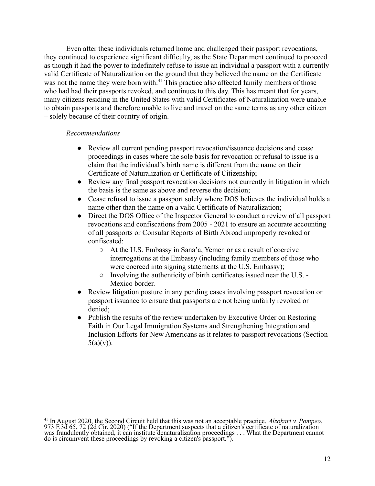Even after these individuals returned home and challenged their passport revocations, they continued to experience significant difficulty, as the State Department continued to proceed as though it had the power to indefinitely refuse to issue an individual a passport with a currently valid Certificate of Naturalization on the ground that they believed the name on the Certificate was not the name they were born with.<sup>41</sup> This practice also affected family members of those who had had their passports revoked, and continues to this day. This has meant that for years, many citizens residing in the United States with valid Certificates of Naturalization were unable to obtain passports and therefore unable to live and travel on the same terms as any other citizen – solely because of their country of origin.

#### *Recommendations*

- Review all current pending passport revocation/issuance decisions and cease proceedings in cases where the sole basis for revocation or refusal to issue is a claim that the individual's birth name is different from the name on their Certificate of Naturalization or Certificate of Citizenship;
- Review any final passport revocation decisions not currently in litigation in which the basis is the same as above and reverse the decision;
- Cease refusal to issue a passport solely where DOS believes the individual holds a name other than the name on a valid Certificate of Naturalization;
- Direct the DOS Office of the Inspector General to conduct a review of all passport revocations and confiscations from 2005 - 2021 to ensure an accurate accounting of all passports or Consular Reports of Birth Abroad improperly revoked or confiscated:
	- At the U.S. Embassy in Sana'a, Yemen or as a result of coercive interrogations at the Embassy (including family members of those who were coerced into signing statements at the U.S. Embassy);
	- Involving the authenticity of birth certificates issued near the U.S. Mexico border.
- Review litigation posture in any pending cases involving passport revocation or passport issuance to ensure that passports are not being unfairly revoked or denied;
- Publish the results of the review undertaken by Executive Order on Restoring Faith in Our Legal Immigration Systems and Strengthening Integration and Inclusion Efforts for New Americans as it relates to passport revocations (Section  $5(a)(v)$ ).

<sup>41</sup> In August 2020, the Second Circuit held that this was not an acceptable practice. *Alzokari v. Pompeo*, 973 F.3d 65, 72 (2d Cir. 2020) ("If the Department suspects that a citizen's certificate of naturalization was fraudulently obtained, it can institute denaturalization proceedings . . . What the Department cannot do is circumvent these proceedings by revoking a citizen's passport.").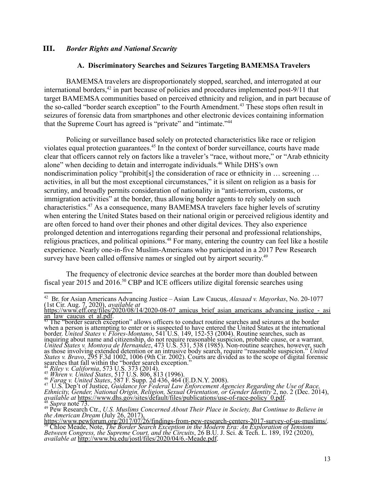#### **III.** *Border Rights and National Security*

## **A. Discriminatory Searches and Seizures Targeting BAMEMSA Travelers**

BAMEMSA travelers are disproportionately stopped, searched, and interrogated at our international borders,<sup>42</sup> in part because of policies and procedures implemented post-9/11 that target BAMEMSA communities based on perceived ethnicity and religion, and in part because of the so-called "border search exception" to the Fourth Amendment.<sup>43</sup> These stops often result in seizures of forensic data from smartphones and other electronic devices containing information that the Supreme Court has agreed is "private" and "intimate."<sup>44</sup>

Policing or surveillance based solely on protected characteristics like race or religion violates equal protection guarantees.<sup>45</sup> In the context of border surveillance, courts have made clear that officers cannot rely on factors like a traveler's "race, without more," or "Arab ethnicity alone" when deciding to detain and interrogate individuals.<sup>46</sup> While DHS's own nondiscrimination policy "prohibit[s] the consideration of race or ethnicity in ... screening ... activities, in all but the most exceptional circumstances," it is silent on religion as a basis for scrutiny, and broadly permits consideration of nationality in "anti-terrorism, customs, or immigration activities" at the border, thus allowing border agents to rely solely on such characteristics.<sup>47</sup> As a consequence, many BAMEMSA travelers face higher levels of scrutiny when entering the United States based on their national origin or perceived religious identity and are often forced to hand over their phones and other digital devices. They also experience prolonged detention and interrogations regarding their personal and professional relationships, religious practices, and political opinions.<sup>48</sup> For many, entering the country can feel like a hostile experience. Nearly one-in-five Muslim-Americans who participated in a 2017 Pew Research survey have been called offensive names or singled out by airport security.<sup>49</sup>

The frequency of electronic device searches at the border more than doubled between fiscal year 2015 and 2016.<sup>50</sup> CBP and ICE officers utilize digital forensic searches using

<sup>44</sup> *Riley v. California*, 573 U.S. 373 (2014).

<sup>42</sup> Br. for Asian Americans Advancing Justice – Asian Law Caucus, *Alasaad v. Mayorkas*, No. 20-1077 (1st Cir. Aug. 7, 2020), *available at*

https://www.eff.org/files/2020/08/14/2020-08-07 amicus brief asian americans advancing justice - asi an law caucus et al.pdf.

<sup>&</sup>lt;sup>43</sup> The "border search exception" allows officers to conduct routine searches and seizures at the border when a person is attempting to enter or is suspected to have entered the United States at the international border. *United States v. Flores-Montano*, 541 U.S. 149, 152-53 (2004). Routine searches, such as inquiring about name and citizenship, do not require reasonable suspicion, probable cause, or a warrant. *United States v. Montoya de Hernandez*, 473 U.S. 531, 538 (1985). Non-routine searches, however, such as those involving extended detention or an intrusive body search, require "reasonable suspicion." *United States v. Bravo*, 295 F.3d 1002, 1006 (9th Cir. 2002). Courts are divided as to the scope of digital forensic searches that fall within the "border search exception."

<sup>46</sup> *Farag v. United States*, 587 F. Supp. 2d 436, 464 (E.D.N.Y. 2008). <sup>45</sup> *Whren v. United States*, 517 U.S. 806, 813 (1996).

<sup>48</sup> *Supra* note 73. <sup>47</sup> U.S. Dep't of Justice, *Guidance for Federal Law Enforcement Agencies Regarding the Use of Race, Ethnicity, Gender, National Origin, Religion, Sexual Orientation, or Gender Identity* 2, no. 2 (Dec. 2014), *available at* [https://www.dhs.gov/sites/default/files/publications/use-of-race-policy\\_0.pdf.](https://www.dhs.gov/sites/default/files/publications/use-of-race-policy_0.pdf)

<sup>49</sup> Pew Research Ctr., *U.S. Muslims Concerned About Their Place in Society, But Continue to Believe in the American Dream* (July 26, 2017),

<sup>50</sup> Chloe Meade, Note, *The Border Search Exception in the Modern Era: An Exploration of Tensions Between Congress, the Supreme Court, and the Circuits*, 26 B.U. J. Sci. & Tech. L. 189, 192 (2020), *available at* [http://www.bu.edu/jostl/files/2020/04/6.-Meade.pdf.](http://www.bu.edu/jostl/files/2020/04/6.-Meade.pdf) [https://www.pewforum.org/2017/07/26/findings-from-pew-research-centers-2017-survey-of-us-muslims/.](https://www.pewforum.org/2017/07/26/findings-from-pew-research-centers-2017-survey-of-us-muslims/)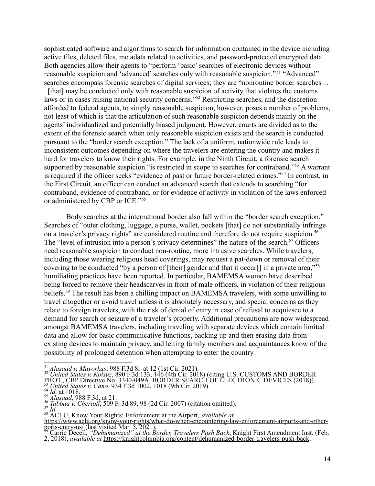sophisticated software and algorithms to search for information contained in the device including active files, deleted files, metadata related to activities, and password-protected encrypted data. Both agencies allow their agents to "perform 'basic' searches of electronic devices without reasonable suspicion and 'advanced' searches only with reasonable suspicion."<sup>51</sup> "Advanced" searches encompass forensic searches of digital services; they are "nonroutine border searches . . . [that] may be conducted only with reasonable suspicion of activity that violates the customs laws or in cases raising national security concerns.<sup>"52</sup> Restricting searches, and the discretion afforded to federal agents, to simply reasonable suspicion, however, poses a number of problems, not least of which is that the articulation of such reasonable suspicion depends mainly on the agents' individualized and potentially biased judgment. However, courts are divided as to the extent of the forensic search when only reasonable suspicion exists and the search is conducted pursuant to the "border search exception." The lack of a uniform, nationwide rule leads to inconsistent outcomes depending on where the travelers are entering the country and makes it hard for travelers to know their rights. For example, in the Ninth Circuit, a forensic search supported by reasonable suspicion "is restricted in scope to searches for contraband."<sup>53</sup> A warrant is required if the officer seeks "evidence of past or future border-related crimes."<sup>54</sup> In contrast, in the First Circuit, an officer can conduct an advanced search that extends to searching "for contraband, evidence of contraband, or for evidence of activity in violation of the laws enforced or administered by CBP or ICE."<sup>55</sup>

Body searches at the international border also fall within the "border search exception." Searches of "outer clothing, luggage, a purse, wallet, pockets [that] do not substantially infringe on a traveler's privacy rights" are considered routine and therefore do not require suspicion.<sup>56</sup> The "level of intrusion into a person's privacy determines" the nature of the search.<sup>57</sup> Officers need reasonable suspicion to conduct non-routine, more intrusive searches. While travelers, including those wearing religious head coverings, may request a pat-down or removal of their covering to be conducted "by a person of [their] gender and that it occur[] in a private area,"<sup>58</sup> humiliating practices have been reported. In particular, BAMEMSA women have described being forced to remove their headscarves in front of male officers, in violation of their religious beliefs.<sup>59</sup> The result has been a chilling impact on BAMEMSA travelers, with some unwilling to travel altogether or avoid travel unless it is absolutely necessary, and special concerns as they relate to foreign travelers, with the risk of denial of entry in case of refusal to acquiesce to a demand for search or seizure of a traveler's property. Additional precautions are now widespread amongst BAMEMSA travelers, including traveling with separate devices which contain limited data and allow for basic communicative functions, backing up and then erasing data from existing devices to maintain privacy, and letting family members and acquaintances know of the possibility of prolonged detention when attempting to enter the country.

<sup>58</sup> ACLU, Know Your Rights: Enforcement at the Airport, *available at*

<sup>51</sup> *Alasaad v. Mayorkas*, 988 F.3d 8, at 12 (1st Cir. 2021).

<sup>52</sup> *United States v. Kolsuz*, 890 F.3d 133, 146 (4th Cir. 2018) (citing U.S. CUSTOMS AND BORDER PROT., CBP Directive No. 3340-049A, BORDER SEARCH OF ELECTRONIC DEVICES (2018)).

<sup>53</sup> *United States v. Cano*. 934 F.3d 1002, 1018 (9th Cir. 2019).

<sup>55</sup> *Alasaad*, 988 F.3d, at 21.  $\frac{54}{ }$ *Id.* at 1018.

<sup>56</sup> *Tabbaa v. Chertof* , 509 F. 3d 89, 98 (2d Cir. 2007) (citation omitted).

<sup>57</sup> *Id.*

[https://www.aclu.org/know-your-rights/what-do-when-encountering-law-enforcement-airports-and-other](https://www.aclu.org/know-your-rights/what-do-when-encountering-law-enforcement-airports-and-other-ports-entry-us/#what-if-i-wear-a-religious-head-covering-and-i-am-selected-by-airport-security-officials-for-additional-screening)[ports-entry-us/](https://www.aclu.org/know-your-rights/what-do-when-encountering-law-enforcement-airports-and-other-ports-entry-us/#what-if-i-wear-a-religious-head-covering-and-i-am-selected-by-airport-security-officials-for-additional-screening) (last visited Mar. 5, 2021).

<sup>59</sup> Carrie Decell, *"Dehumanized" at the Border, Travelers Push Back*, Knight First Amendment Inst. (Feb.

<sup>2,</sup> 2018), *available at* <https://knightcolumbia.org/content/dehumanized-border-travelers-push-back>.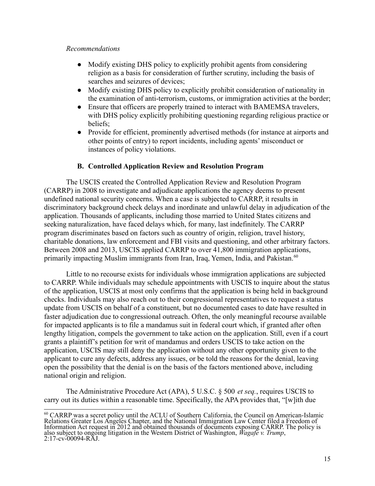#### *Recommendations*

- Modify existing DHS policy to explicitly prohibit agents from considering religion as a basis for consideration of further scrutiny, including the basis of searches and seizures of devices;
- Modify existing DHS policy to explicitly prohibit consideration of nationality in the examination of anti-terrorism, customs, or immigration activities at the border;
- Ensure that officers are properly trained to interact with BAMEMSA travelers, with DHS policy explicitly prohibiting questioning regarding religious practice or beliefs;
- Provide for efficient, prominently advertised methods (for instance at airports and other points of entry) to report incidents, including agents' misconduct or instances of policy violations.

## **B. Controlled Application Review and Resolution Program**

The USCIS created the Controlled Application Review and Resolution Program (CARRP) in 2008 to investigate and adjudicate applications the agency deems to present undefined national security concerns. When a case is subjected to CARRP, it results in discriminatory background check delays and inordinate and unlawful delay in adjudication of the application. Thousands of applicants, including those married to United States citizens and seeking naturalization, have faced delays which, for many, last indefinitely. The CARRP program discriminates based on factors such as country of origin, religion, travel history, charitable donations, law enforcement and FBI visits and questioning, and other arbitrary factors. Between 2008 and 2013, USCIS applied CARRP to over 41,800 immigration applications, primarily impacting Muslim immigrants from Iran, Iraq, Yemen, India, and Pakistan.<sup>60</sup>

Little to no recourse exists for individuals whose immigration applications are subjected to CARRP. While individuals may schedule appointments with USCIS to inquire about the status of the application, USCIS at most only confirms that the application is being held in background checks. Individuals may also reach out to their congressional representatives to request a status update from USCIS on behalf of a constituent, but no documented cases to date have resulted in faster adjudication due to congressional outreach. Often, the only meaningful recourse available for impacted applicants is to file a mandamus suit in federal court which, if granted after often lengthy litigation, compels the government to take action on the application. Still, even if a court grants a plaintiff's petition for writ of mandamus and orders USCIS to take action on the application, USCIS may still deny the application without any other opportunity given to the applicant to cure any defects, address any issues, or be told the reasons for the denial, leaving open the possibility that the denial is on the basis of the factors mentioned above, including national origin and religion.

The Administrative Procedure Act (APA), 5 U.S.C. § 500 *et seq.*, requires USCIS to carry out its duties within a reasonable time. Specifically, the APA provides that, "[w]ith due

<sup>60</sup> CARRP was a secret policy until the ACLU of Southern California, the Council on American-Islamic Relations Greater Los Angeles Chapter, and the National Immigration Law Center filed a Freedom of Information Act request in 2012 and obtained thousands of documents exposing CARRP. The policy is also subject to ongoing litigation in the Western District of Washington, *Wagafe v. Trump*, 2:17-cv-00094-RAJ.